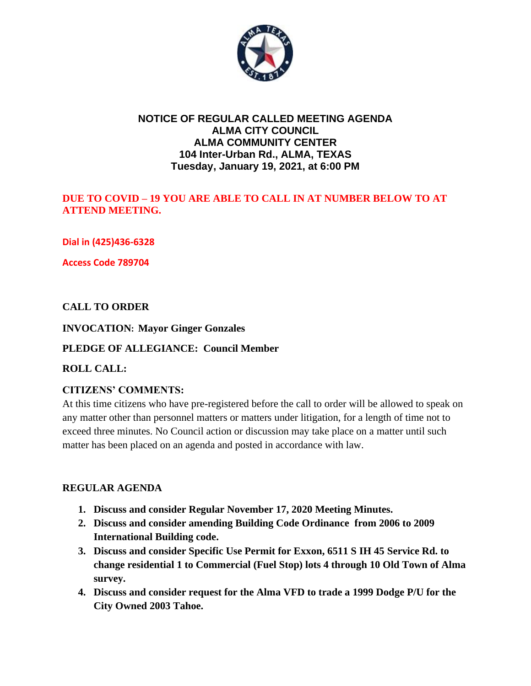

## **NOTICE OF REGULAR CALLED MEETING AGENDA ALMA CITY COUNCIL ALMA COMMUNITY CENTER 104 Inter-Urban Rd., ALMA, TEXAS Tuesday, January 19, 2021, at 6:00 PM**

### **DUE TO COVID – 19 YOU ARE ABLE TO CALL IN AT NUMBER BELOW TO AT ATTEND MEETING.**

**Dial in (425)436-6328**

**Access Code 789704**

### **CALL TO ORDER**

### **INVOCATION: Mayor Ginger Gonzales**

#### **PLEDGE OF ALLEGIANCE: Council Member**

#### **ROLL CALL:**

### **CITIZENS' COMMENTS:**

At this time citizens who have pre-registered before the call to order will be allowed to speak on any matter other than personnel matters or matters under litigation, for a length of time not to exceed three minutes. No Council action or discussion may take place on a matter until such matter has been placed on an agenda and posted in accordance with law.

#### **REGULAR AGENDA**

- **1. Discuss and consider Regular November 17, 2020 Meeting Minutes.**
- **2. Discuss and consider amending Building Code Ordinance from 2006 to 2009 International Building code.**
- **3. Discuss and consider Specific Use Permit for Exxon, 6511 S IH 45 Service Rd. to change residential 1 to Commercial (Fuel Stop) lots 4 through 10 Old Town of Alma survey.**
- **4. Discuss and consider request for the Alma VFD to trade a 1999 Dodge P/U for the City Owned 2003 Tahoe.**